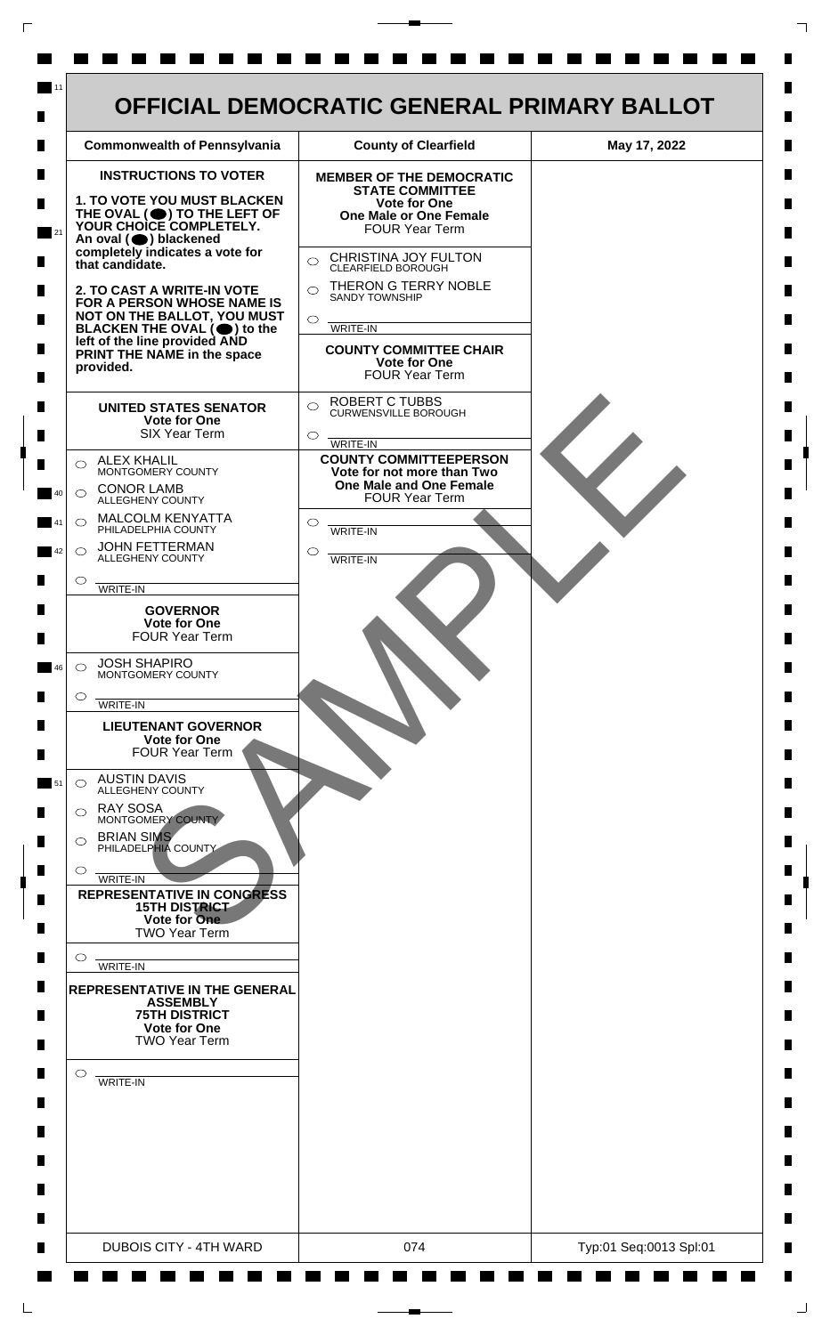

 $\mathsf{L}$ 

 $\Box$